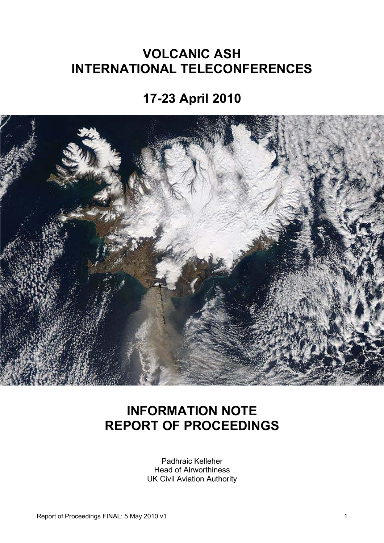# **VOLCANIC ASH INTERNATIONAL TELECONFERENCES**

**17-23 April 2010** 



# **INFORMATION NOTE REPORT OF PROCEEDINGS**

Padhraic Kelleher Head of Airworthiness UK Civil Aviation Authority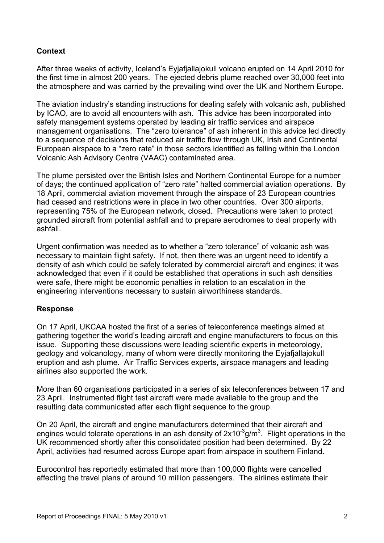### **Context**

After three weeks of activity, Iceland's Eyjafjallajokull volcano erupted on 14 April 2010 for the first time in almost 200 years. The ejected debris plume reached over 30,000 feet into the atmosphere and was carried by the prevailing wind over the UK and Northern Europe.

The aviation industry's standing instructions for dealing safely with volcanic ash, published by ICAO, are to avoid all encounters with ash. This advice has been incorporated into safety management systems operated by leading air traffic services and airspace management organisations. The "zero tolerance" of ash inherent in this advice led directly to a sequence of decisions that reduced air traffic flow through UK, Irish and Continental European airspace to a "zero rate" in those sectors identified as falling within the London Volcanic Ash Advisory Centre (VAAC) contaminated area.

The plume persisted over the British Isles and Northern Continental Europe for a number of days; the continued application of "zero rate" halted commercial aviation operations. By 18 April, commercial aviation movement through the airspace of 23 European countries had ceased and restrictions were in place in two other countries. Over 300 airports, representing 75% of the European network, closed. Precautions were taken to protect grounded aircraft from potential ashfall and to prepare aerodromes to deal properly with ashfall.

Urgent confirmation was needed as to whether a "zero tolerance" of volcanic ash was necessary to maintain flight safety. If not, then there was an urgent need to identify a density of ash which could be safely tolerated by commercial aircraft and engines; it was acknowledged that even if it could be established that operations in such ash densities were safe, there might be economic penalties in relation to an escalation in the engineering interventions necessary to sustain airworthiness standards.

#### **Response**

On 17 April, UKCAA hosted the first of a series of teleconference meetings aimed at gathering together the world's leading aircraft and engine manufacturers to focus on this issue. Supporting these discussions were leading scientific experts in meteorology, geology and volcanology, many of whom were directly monitoring the Eyjafjallajokull eruption and ash plume. Air Traffic Services experts, airspace managers and leading airlines also supported the work.

More than 60 organisations participated in a series of six teleconferences between 17 and 23 April. Instrumented flight test aircraft were made available to the group and the resulting data communicated after each flight sequence to the group.

On 20 April, the aircraft and engine manufacturers determined that their aircraft and engines would tolerate operations in an ash density of  $2x10^{-3}$ g/m<sup>3</sup>. Flight operations in the UK recommenced shortly after this consolidated position had been determined. By 22 April, activities had resumed across Europe apart from airspace in southern Finland.

Eurocontrol has reportedly estimated that more than 100,000 flights were cancelled affecting the travel plans of around 10 million passengers. The airlines estimate their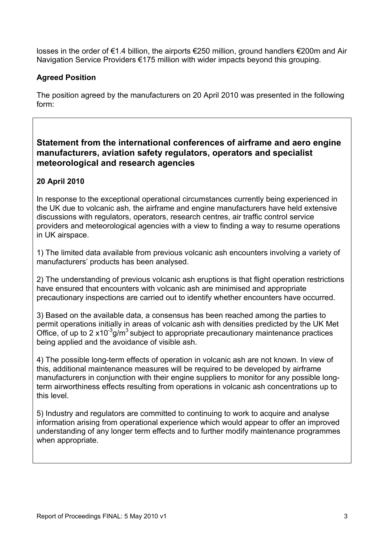losses in the order of €1.4 billion, the airports €250 million, ground handlers €200m and Air Navigation Service Providers €175 million with wider impacts beyond this grouping.

## **Agreed Position**

The position agreed by the manufacturers on 20 April 2010 was presented in the following form:

# **Statement from the international conferences of airframe and aero engine manufacturers, aviation safety regulators, operators and specialist meteorological and research agencies**

# **20 April 2010**

In response to the exceptional operational circumstances currently being experienced in the UK due to volcanic ash, the airframe and engine manufacturers have held extensive discussions with regulators, operators, research centres, air traffic control service providers and meteorological agencies with a view to finding a way to resume operations in UK airspace.

1) The limited data available from previous volcanic ash encounters involving a variety of manufacturers' products has been analysed.

2) The understanding of previous volcanic ash eruptions is that flight operation restrictions have ensured that encounters with volcanic ash are minimised and appropriate precautionary inspections are carried out to identify whether encounters have occurred.

3) Based on the available data, a consensus has been reached among the parties to permit operations initially in areas of volcanic ash with densities predicted by the UK Met Office, of up to 2  $x10^{-3}$ g/m<sup>3</sup> subject to appropriate precautionary maintenance practices being applied and the avoidance of visible ash.

4) The possible long-term effects of operation in volcanic ash are not known. In view of this, additional maintenance measures will be required to be developed by airframe manufacturers in conjunction with their engine suppliers to monitor for any possible longterm airworthiness effects resulting from operations in volcanic ash concentrations up to this level.

5) Industry and regulators are committed to continuing to work to acquire and analyse information arising from operational experience which would appear to offer an improved understanding of any longer term effects and to further modify maintenance programmes when appropriate.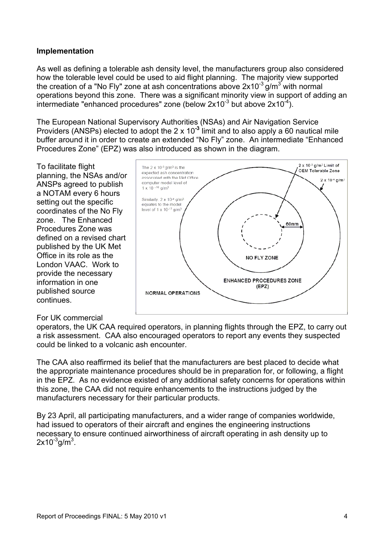#### **Implementation**

As well as defining a tolerable ash density level, the manufacturers group also considered how the tolerable level could be used to aid flight planning. The majority view supported the creation of a "No Fly" zone at ash concentrations above  $2x10^{-3}$  g/m<sup>3</sup> with normal operations beyond this zone. There was a significant minority view in support of adding an intermediate "enhanced procedures" zone (below  $2x10^{-3}$  but above  $2x10^{-4}$ ).

The European National Supervisory Authorities (NSAs) and Air Navigation Service Providers (ANSPs) elected to adopt the 2 x 10**-3** limit and to also apply a 60 nautical mile buffer around it in order to create an extended "No Fly" zone. An intermediate "Enhanced Procedures Zone" (EPZ) was also introduced as shown in the diagram.

To facilitate flight planning, the NSAs a nd/or ANSPs agreed to publish a NOTAM every 6 hours setting out the specific coordinates of the No Fly zone. The Enhanc ed Procedures Zone was defined on a revised chart published by the UK Met Office in its role as the London VAAC. Work to provide the necessar y information in one published source continues.



#### For UK commercial

operators, the UK CAA required operators, in planning flights through the EPZ, to carry out a risk assessment. CAA also encouraged operators to report any events they suspected could be linked to a volcanic ash encounter.

The CAA also reaffirmed its belief that the manufacturers are best placed to decide what the appropriate maintenance procedures should be in preparation for, or following, a flight in the EPZ. As no evidence existed of any additional safety concerns for operations within this zone, the CAA did not require enhancements to the instructions judged by the manufacturers necessary for their particular products.

By 23 April, all participating manufacturers, and a wider range of companies worldwide, had issued to operators of their aircraft and engines the engineering instructions necessary to ensure continued airworthiness of aircraft operating in ash density up to  $2$ x10 $\mathrm{^3g/m^3}$ .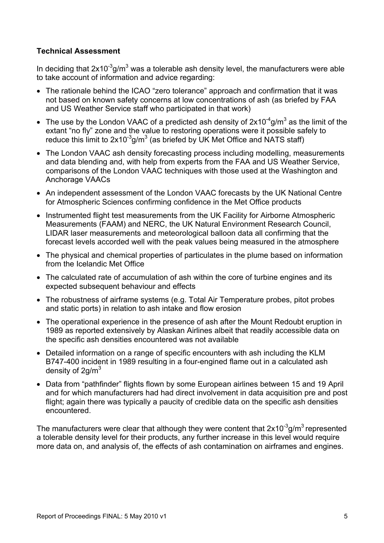### **Technical Assessment**

In deciding that  $2x10^{-3}$ g/m<sup>3</sup> was a tolerable ash density level, the manufacturers were able to take account of information and advice regarding:

- The rationale behind the ICAO "zero tolerance" approach and confirmation that it was not based on known safety concerns at low concentrations of ash (as briefed by FAA and US Weather Service staff who participated in that work)
- The use by the London VAAC of a predicted ash density of  $2x10^{-4}$ g/m<sup>3</sup> as the limit of the extant "no fly" zone and the value to restoring operations were it possible safely to reduce this limit to  $2x10^{-3}$ g/m<sup>3</sup> (as briefed by UK Met Office and NATS staff)
- The London VAAC ash density forecasting process including modelling, measurements and data blending and, with help from experts from the FAA and US Weather Service, comparisons of the London VAAC techniques with those used at the Washington and Anchorage VAACs
- An independent assessment of the London VAAC forecasts by the UK National Centre for Atmospheric Sciences confirming confidence in the Met Office products
- Instrumented flight test measurements from the UK Facility for Airborne Atmospheric Measurements (FAAM) and NERC, the UK Natural Environment Research Council, LIDAR laser measurements and meteorological balloon data all confirming that the forecast levels accorded well with the peak values being measured in the atmosphere
- The physical and chemical properties of particulates in the plume based on information from the Icelandic Met Office
- The calculated rate of accumulation of ash within the core of turbine engines and its expected subsequent behaviour and effects
- The robustness of airframe systems (e.g. Total Air Temperature probes, pitot probes and static ports) in relation to ash intake and flow erosion
- The operational experience in the presence of ash after the Mount Redoubt eruption in 1989 as reported extensively by Alaskan Airlines albeit that readily accessible data on the specific ash densities encountered was not available
- Detailed information on a range of specific encounters with ash including the KLM B747-400 incident in 1989 resulting in a four-engined flame out in a calculated ash density of 2g/m $^3\,$
- Data from "pathfinder" flights flown by some European airlines between 15 and 19 April and for which manufacturers had had direct involvement in data acquisition pre and post flight; again there was typically a paucity of credible data on the specific ash densities encountered.

The manufacturers were clear that although they were content that  $2x10^{-3}$ g/m<sup>3</sup> represented a tolerable density level for their products, any further increase in this level would require more data on, and analysis of, the effects of ash contamination on airframes and engines.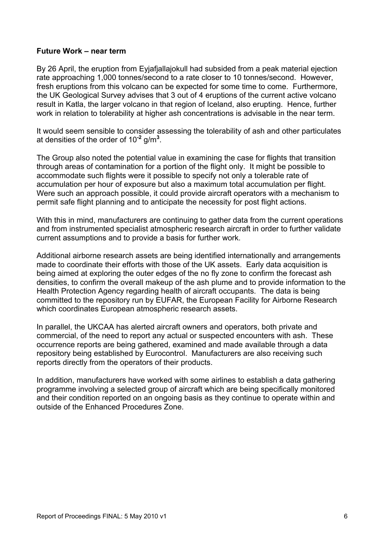#### **Future Work – near term**

By 26 April, the eruption from Eyjafjallajokull had subsided from a peak material ejection rate approaching 1,000 tonnes/second to a rate closer to 10 tonnes/second. However, fresh eruptions from this volcano can be expected for some time to come. Furthermore, the UK Geological Survey advises that 3 out of 4 eruptions of the current active volcano result in Katla, the larger volcano in that region of Iceland, also erupting. Hence, further work in relation to tolerability at higher ash concentrations is advisable in the near term.

It would seem sensible to consider assessing the tolerability of ash and other particulates at densities of the order of 10**-2** g/m**<sup>3</sup>** .

The Group also noted the potential value in examining the case for flights that transition through areas of contamination for a portion of the flight only. It might be possible to accommodate such flights were it possible to specify not only a tolerable rate of accumulation per hour of exposure but also a maximum total accumulation per flight. Were such an approach possible, it could provide aircraft operators with a mechanism to permit safe flight planning and to anticipate the necessity for post flight actions.

With this in mind, manufacturers are continuing to gather data from the current operations and from instrumented specialist atmospheric research aircraft in order to further validate current assumptions and to provide a basis for further work.

Additional airborne research assets are being identified internationally and arrangements made to coordinate their efforts with those of the UK assets. Early data acquisition is being aimed at exploring the outer edges of the no fly zone to confirm the forecast ash densities, to confirm the overall makeup of the ash plume and to provide information to the Health Protection Agency regarding health of aircraft occupants. The data is being committed to the repository run by EUFAR, the European Facility for Airborne Research which coordinates European atmospheric research assets.

In parallel, the UKCAA has alerted aircraft owners and operators, both private and commercial, of the need to report any actual or suspected encounters with ash. These occurrence reports are being gathered, examined and made available through a data repository being established by Eurocontrol. Manufacturers are also receiving such reports directly from the operators of their products.

In addition, manufacturers have worked with some airlines to establish a data gathering programme involving a selected group of aircraft which are being specifically monitored and their condition reported on an ongoing basis as they continue to operate within and outside of the Enhanced Procedures Zone.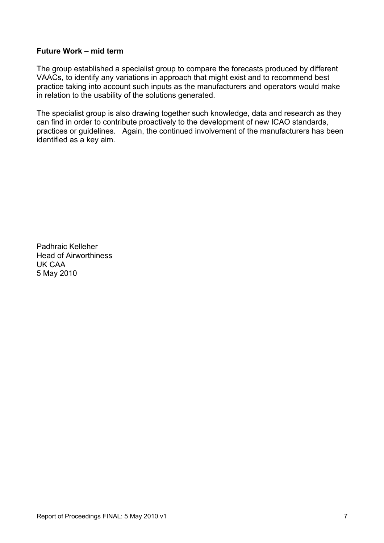#### **Future Work – mid term**

The group established a specialist group to compare the forecasts produced by different VAACs, to identify any variations in approach that might exist and to recommend best practice taking into account such inputs as the manufacturers and operators would make in relation to the usability of the solutions generated.

The specialist group is also drawing together such knowledge, data and research as they can find in order to contribute proactively to the development of new ICAO standards, practices or guidelines. Again, the continued involvement of the manufacturers has been identified as a key aim.

Padhraic Kelleher Head of Airworthiness UK CAA 5 May 2010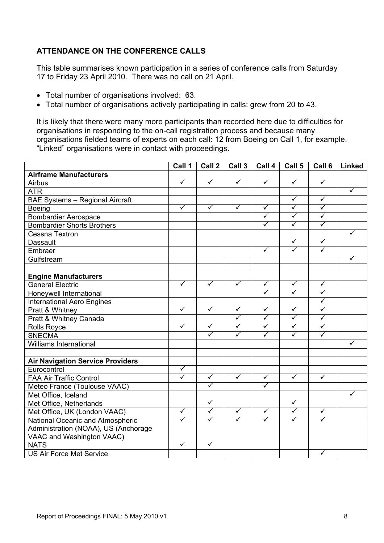## **ATTENDANCE ON THE CONFERENCE CALLS**

This table summarises known participation in a series of conference calls from Saturday 17 to Friday 23 April 2010. There was no call on 21 April.

- Total number of organisations involved: 63.
- Total number of organisations actively participating in calls: grew from 20 to 43.

It is likely that there were many more participants than recorded here due to difficulties for organisations in responding to the on-call registration process and because many organisations fielded teams of experts on each call: 12 from Boeing on Call 1, for example. "Linked" organisations were in contact with proceedings.

|                                         | Call 1               | Call 2                  | Call 3                  | Call 4               | Call 5               | Call 6                  | <b>Linked</b>        |
|-----------------------------------------|----------------------|-------------------------|-------------------------|----------------------|----------------------|-------------------------|----------------------|
| <b>Airframe Manufacturers</b>           |                      |                         |                         |                      |                      |                         |                      |
| Airbus                                  | $\blacktriangledown$ | $\overline{\checkmark}$ | $\blacktriangledown$    | $\blacktriangledown$ | ✓                    | $\checkmark$            |                      |
| <b>ATR</b>                              |                      |                         |                         |                      |                      |                         | ✓                    |
| <b>BAE Systems - Regional Aircraft</b>  |                      |                         |                         |                      | $\checkmark$         | $\checkmark$            |                      |
| <b>Boeing</b>                           | $\blacktriangledown$ | $\blacktriangledown$    | $\overline{\checkmark}$ | $\blacktriangledown$ | $\blacktriangledown$ | $\blacktriangledown$    |                      |
| <b>Bombardier Aerospace</b>             |                      |                         |                         | $\blacktriangledown$ | $\blacktriangledown$ | $\blacktriangledown$    |                      |
| <b>Bombardier Shorts Brothers</b>       |                      |                         |                         | $\checkmark$         | $\checkmark$         | $\blacktriangledown$    |                      |
| Cessna Textron                          |                      |                         |                         |                      |                      |                         | ✓                    |
| Dassault                                |                      |                         |                         |                      | $\blacktriangledown$ | $\checkmark$            |                      |
| Embraer                                 |                      |                         |                         | $\checkmark$         | ✓                    | ✓                       |                      |
| Gulfstream                              |                      |                         |                         |                      |                      |                         | $\checkmark$         |
|                                         |                      |                         |                         |                      |                      |                         |                      |
| <b>Engine Manufacturers</b>             |                      |                         |                         |                      |                      |                         |                      |
| <b>General Electric</b>                 | $\checkmark$         | $\checkmark$            | $\blacktriangledown$    | $\blacktriangledown$ | $\blacktriangledown$ | $\checkmark$            |                      |
| Honeywell International                 |                      |                         |                         | ✓                    | ✓                    | $\blacktriangledown$    |                      |
| <b>International Aero Engines</b>       |                      |                         |                         |                      |                      | $\blacktriangledown$    |                      |
| Pratt & Whitney                         | $\blacktriangledown$ | $\checkmark$            | $\checkmark$            | ✓                    | $\checkmark$         | ✓                       |                      |
| Pratt & Whitney Canada                  |                      |                         | $\checkmark$            | ✓                    | ✓                    | ✓                       |                      |
| Rolls Royce                             | $\blacktriangledown$ | $\blacktriangledown$    | $\blacktriangledown$    | $\blacktriangledown$ | $\checkmark$         | $\blacktriangledown$    |                      |
| <b>SNECMA</b>                           |                      | $\blacktriangledown$    | $\blacktriangledown$    | $\blacktriangledown$ | $\blacktriangledown$ | $\overline{\checkmark}$ |                      |
| <b>Williams International</b>           |                      |                         |                         |                      |                      |                         | $\blacktriangledown$ |
|                                         |                      |                         |                         |                      |                      |                         |                      |
| <b>Air Navigation Service Providers</b> |                      |                         |                         |                      |                      |                         |                      |
| Eurocontrol                             | $\blacktriangledown$ |                         |                         |                      |                      |                         |                      |
| <b>FAA Air Traffic Control</b>          | $\checkmark$         | $\checkmark$            | $\checkmark$            | $\checkmark$         | $\checkmark$         | ✓                       |                      |
| Meteo France (Toulouse VAAC)            |                      | $\checkmark$            |                         | $\checkmark$         |                      |                         |                      |
| Met Office, Iceland                     |                      |                         |                         |                      |                      |                         | $\blacktriangledown$ |
| Met Office, Netherlands                 |                      | $\checkmark$            |                         |                      | $\checkmark$         |                         |                      |
| Met Office, UK (London VAAC)            | $\blacktriangledown$ | $\blacktriangledown$    | $\blacktriangledown$    | $\blacktriangledown$ | $\blacktriangledown$ | $\blacktriangledown$    |                      |
| National Oceanic and Atmospheric        | $\blacktriangledown$ | ✓                       | ✓                       | ✓                    | ✓                    | ✓                       |                      |
| Administration (NOAA), US (Anchorage    |                      |                         |                         |                      |                      |                         |                      |
| VAAC and Washington VAAC)               |                      |                         |                         |                      |                      |                         |                      |
| <b>NATS</b>                             | $\checkmark$         | $\checkmark$            |                         |                      |                      |                         |                      |
| <b>US Air Force Met Service</b>         |                      |                         |                         |                      |                      | $\checkmark$            |                      |